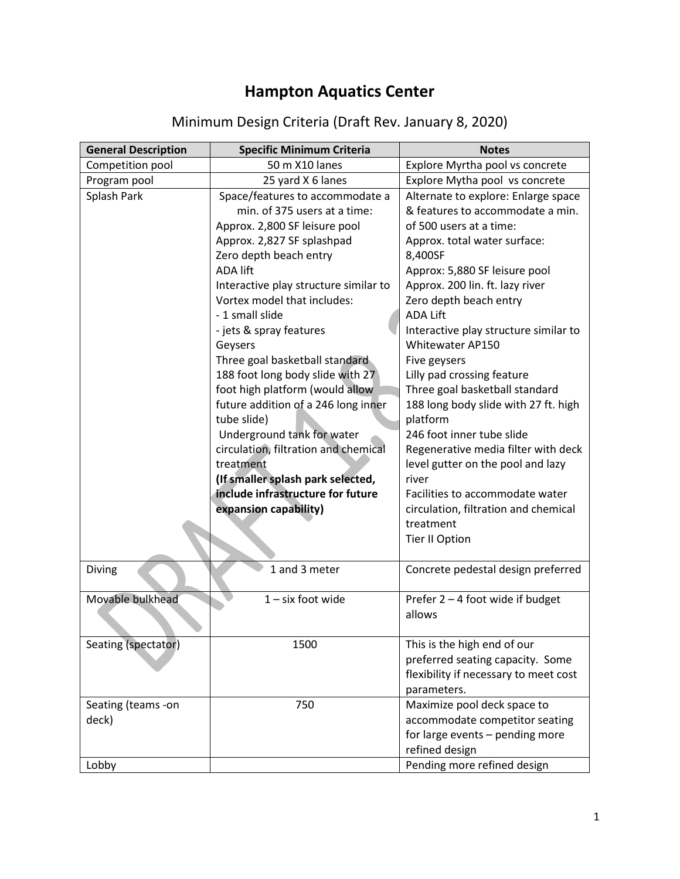## **Hampton Aquatics Center**

| <b>General Description</b> | <b>Specific Minimum Criteria</b>      | <b>Notes</b>                          |
|----------------------------|---------------------------------------|---------------------------------------|
| Competition pool           | 50 m X10 lanes                        | Explore Myrtha pool vs concrete       |
| Program pool               | 25 yard X 6 lanes                     | Explore Mytha pool vs concrete        |
| Splash Park                | Space/features to accommodate a       | Alternate to explore: Enlarge space   |
|                            | min. of 375 users at a time:          | & features to accommodate a min.      |
|                            | Approx. 2,800 SF leisure pool         | of 500 users at a time:               |
|                            | Approx. 2,827 SF splashpad            | Approx. total water surface:          |
|                            | Zero depth beach entry                | 8,400SF                               |
|                            | <b>ADA lift</b>                       | Approx: 5,880 SF leisure pool         |
|                            | Interactive play structure similar to | Approx. 200 lin. ft. lazy river       |
|                            | Vortex model that includes:           | Zero depth beach entry                |
|                            | - 1 small slide                       | <b>ADA Lift</b>                       |
|                            | - jets & spray features               | Interactive play structure similar to |
|                            | Geysers                               | Whitewater AP150                      |
|                            | Three goal basketball standard        | Five geysers                          |
|                            | 188 foot long body slide with 27      | Lilly pad crossing feature            |
|                            | foot high platform (would allow       | Three goal basketball standard        |
|                            | future addition of a 246 long inner   | 188 long body slide with 27 ft. high  |
|                            | tube slide)                           | platform                              |
|                            | Underground tank for water            | 246 foot inner tube slide             |
|                            | circulation, filtration and chemical  | Regenerative media filter with deck   |
|                            | treatment                             | level gutter on the pool and lazy     |
|                            | (If smaller splash park selected,     | river                                 |
|                            | include infrastructure for future     | Facilities to accommodate water       |
|                            | expansion capability)                 | circulation, filtration and chemical  |
|                            |                                       | treatment                             |
|                            |                                       | <b>Tier II Option</b>                 |
|                            |                                       |                                       |
| Diving                     | 1 and 3 meter                         | Concrete pedestal design preferred    |
|                            |                                       |                                       |
| Movable bulkhead           | $1 - \text{six foot wide}$            | Prefer 2 - 4 foot wide if budget      |
|                            |                                       | allows                                |
|                            |                                       |                                       |
| Seating (spectator)        | 1500                                  | This is the high end of our           |
|                            |                                       | preferred seating capacity. Some      |
|                            |                                       | flexibility if necessary to meet cost |
|                            |                                       | parameters.                           |
| Seating (teams -on         | 750                                   | Maximize pool deck space to           |
| deck)                      |                                       | accommodate competitor seating        |
|                            |                                       | for large events - pending more       |
|                            |                                       | refined design                        |
| Lobby                      |                                       | Pending more refined design           |

## Minimum Design Criteria (Draft Rev. January 8, 2020)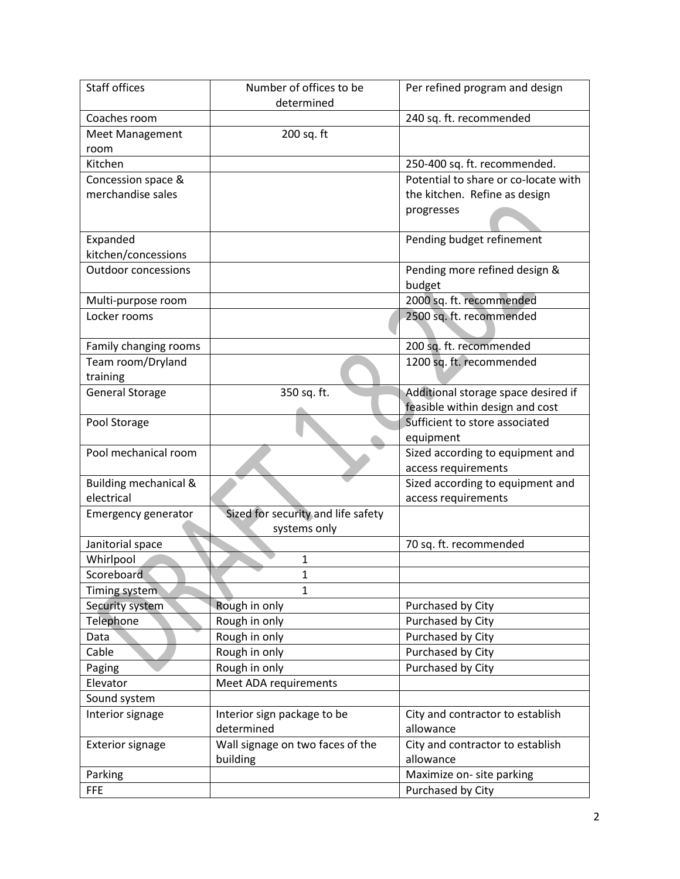| <b>Staff offices</b>       | Number of offices to be            | Per refined program and design       |
|----------------------------|------------------------------------|--------------------------------------|
|                            | determined                         |                                      |
| Coaches room               |                                    | 240 sq. ft. recommended              |
| Meet Management            | 200 sq. ft                         |                                      |
| room                       |                                    |                                      |
| Kitchen                    |                                    | 250-400 sq. ft. recommended.         |
| Concession space &         |                                    | Potential to share or co-locate with |
| merchandise sales          |                                    | the kitchen. Refine as design        |
|                            |                                    | progresses                           |
|                            |                                    |                                      |
| Expanded                   |                                    | Pending budget refinement            |
| kitchen/concessions        |                                    |                                      |
| <b>Outdoor concessions</b> |                                    | Pending more refined design &        |
|                            |                                    | budget                               |
| Multi-purpose room         |                                    | 2000 sq. ft. recommended             |
| Locker rooms               |                                    | 2500 sq. ft. recommended             |
|                            |                                    |                                      |
| Family changing rooms      |                                    | 200 sq. ft. recommended              |
| Team room/Dryland          |                                    | 1200 sq. ft. recommended             |
| training                   |                                    |                                      |
| <b>General Storage</b>     | 350 sq. ft.                        | Additional storage space desired if  |
|                            |                                    | feasible within design and cost      |
| Pool Storage               |                                    | Sufficient to store associated       |
|                            |                                    | equipment                            |
| Pool mechanical room       |                                    | Sized according to equipment and     |
|                            |                                    | access requirements                  |
| Building mechanical &      |                                    | Sized according to equipment and     |
| electrical                 |                                    | access requirements                  |
| <b>Emergency generator</b> | Sized for security and life safety |                                      |
|                            | systems only                       |                                      |
| Janitorial space           |                                    | 70 sq. ft. recommended               |
| Whirlpool                  | 1                                  |                                      |
| Scoreboard                 | 1                                  |                                      |
| Timing system              | $\mathbf{1}$                       |                                      |
| Security system            | Rough in only                      | Purchased by City                    |
| Telephone                  | Rough in only                      | Purchased by City                    |
| Data                       | Rough in only                      | Purchased by City                    |
| Cable                      | Rough in only                      | Purchased by City                    |
| Paging                     | Rough in only                      | Purchased by City                    |
| Elevator                   | Meet ADA requirements              |                                      |
| Sound system               |                                    |                                      |
| Interior signage           | Interior sign package to be        | City and contractor to establish     |
|                            | determined                         | allowance                            |
| Exterior signage           | Wall signage on two faces of the   | City and contractor to establish     |
|                            | building                           | allowance                            |
|                            |                                    | Maximize on- site parking            |
| Parking<br><b>FFE</b>      |                                    |                                      |
|                            |                                    | Purchased by City                    |